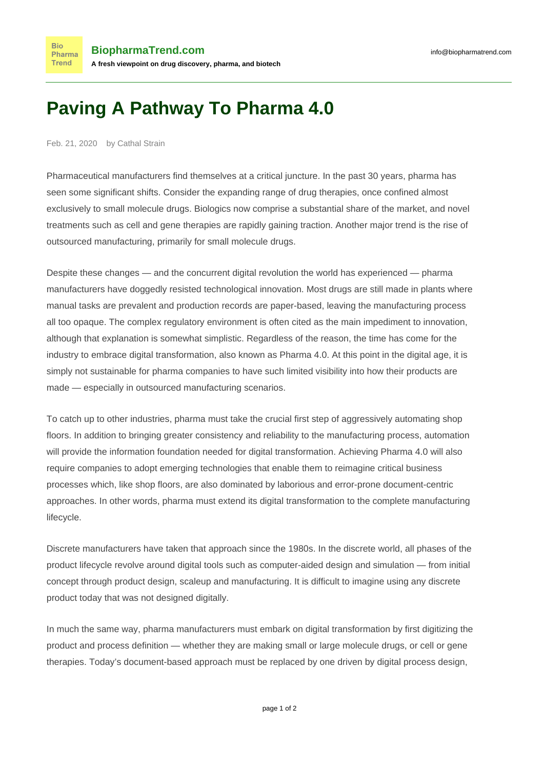## **Paving A Pathway To Pharma 4.0**

Feb. 21, 2020 by Cathal Strain

**Bio** 

**Trend** 

Pharmaceutical manufacturers find themselves at a critical juncture. In the past 30 years, pharma has seen some significant shifts. Consider the expanding range of drug therapies, once confined almost exclusively to small molecule drugs. Biologics now comprise a substantial share of the market, and novel treatments such as cell and gene therapies are rapidly gaining traction. Another major trend is the rise of outsourced manufacturing, primarily for small molecule drugs.

Despite these changes — and the concurrent digital revolution the world has experienced — pharma manufacturers have doggedly resisted technological innovation. Most drugs are still made in plants where manual tasks are prevalent and production records are paper-based, leaving the manufacturing process all too opaque. The complex regulatory environment is often cited as the main impediment to innovation, although that explanation is somewhat simplistic. Regardless of the reason, the time has come for the industry to embrace digital transformation, also known as Pharma 4.0. At this point in the digital age, it is simply not sustainable for pharma companies to have such limited visibility into how their products are made — especially in outsourced manufacturing scenarios.

To catch up to other industries, pharma must take the crucial first step of aggressively automating shop floors. In addition to bringing greater consistency and reliability to the manufacturing process, automation will provide the information foundation needed for digital transformation. Achieving Pharma 4.0 will also require companies to adopt emerging technologies that enable them to reimagine critical business processes which, like shop floors, are also dominated by laborious and error-prone document-centric approaches. In other words, pharma must extend its digital transformation to the complete manufacturing lifecycle.

Discrete manufacturers have taken that approach since the 1980s. In the discrete world, all phases of the product lifecycle revolve around digital tools such as computer-aided design and simulation — from initial concept through product design, scaleup and manufacturing. It is difficult to imagine using any discrete product today that was not designed digitally.

In much the same way, pharma manufacturers must embark on digital transformation by first digitizing the product and process definition — whether they are making small or large molecule drugs, or cell or gene therapies. Today's document-based approach must be replaced by one driven by digital process design,